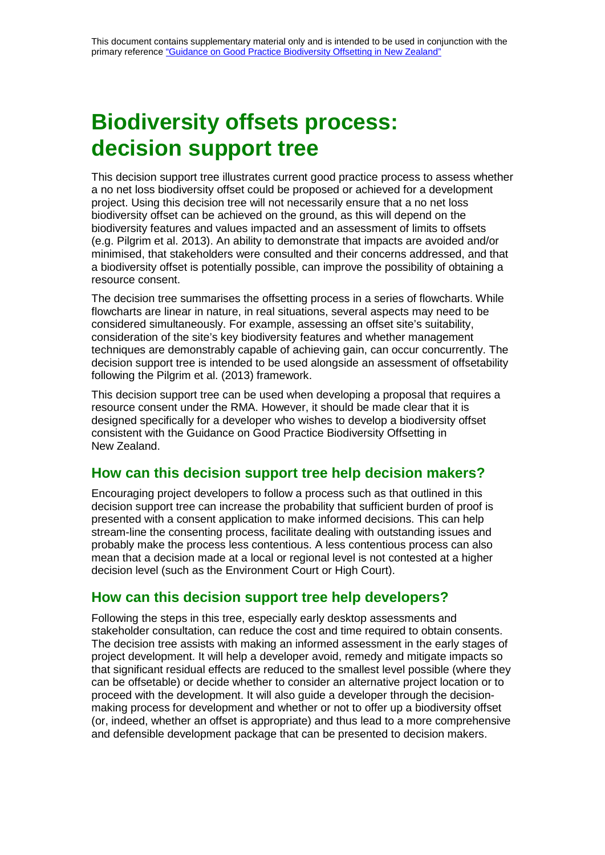## **Biodiversity offsets process: decision support tree**

This decision support tree illustrates current good practice process to assess whether a no net loss biodiversity offset could be proposed or achieved for a development project. Using this decision tree will not necessarily ensure that a no net loss biodiversity offset can be achieved on the ground, as this will depend on the biodiversity features and values impacted and an assessment of limits to offsets (e.g. Pilgrim et al. 2013). An ability to demonstrate that impacts are avoided and/or minimised, that stakeholders were consulted and their concerns addressed, and that a biodiversity offset is potentially possible, can improve the possibility of obtaining a resource consent.

The decision tree summarises the offsetting process in a series of flowcharts. While flowcharts are linear in nature, in real situations, several aspects may need to be considered simultaneously. For example, assessing an offset site's suitability, consideration of the site's key biodiversity features and whether management techniques are demonstrably capable of achieving gain, can occur concurrently. The decision support tree is intended to be used alongside an assessment of offsetability following the Pilgrim et al. (2013) framework.

This decision support tree can be used when developing a proposal that requires a resource consent under the RMA. However, it should be made clear that it is designed specifically for a developer who wishes to develop a biodiversity offset consistent with the Guidance on Good Practice Biodiversity Offsetting in New Zealand.

## **How can this decision support tree help decision makers?**

Encouraging project developers to follow a process such as that outlined in this decision support tree can increase the probability that sufficient burden of proof is presented with a consent application to make informed decisions. This can help stream-line the consenting process, facilitate dealing with outstanding issues and probably make the process less contentious. A less contentious process can also mean that a decision made at a local or regional level is not contested at a higher decision level (such as the Environment Court or High Court).

## **How can this decision support tree help developers?**

Following the steps in this tree, especially early desktop assessments and stakeholder consultation, can reduce the cost and time required to obtain consents. The decision tree assists with making an informed assessment in the early stages of project development. It will help a developer avoid, remedy and mitigate impacts so that significant residual effects are reduced to the smallest level possible (where they can be offsetable) or decide whether to consider an alternative project location or to proceed with the development. It will also guide a developer through the decisionmaking process for development and whether or not to offer up a biodiversity offset (or, indeed, whether an offset is appropriate) and thus lead to a more comprehensive and defensible development package that can be presented to decision makers.